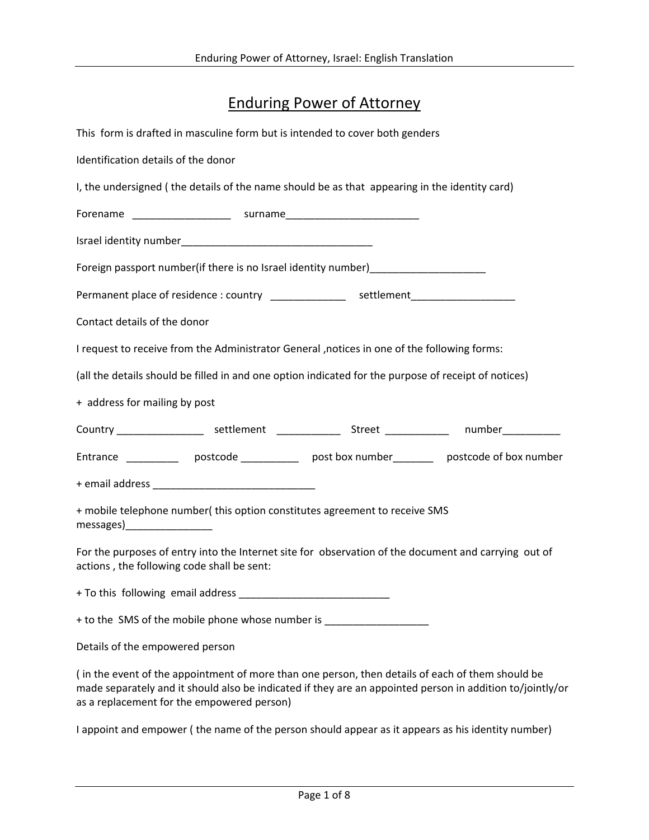## Enduring Power of Attorney

|                                            | This form is drafted in masculine form but is intended to cover both genders                         |                                                                                                           |
|--------------------------------------------|------------------------------------------------------------------------------------------------------|-----------------------------------------------------------------------------------------------------------|
| Identification details of the donor        |                                                                                                      |                                                                                                           |
|                                            | I, the undersigned (the details of the name should be as that appearing in the identity card)        |                                                                                                           |
|                                            |                                                                                                      |                                                                                                           |
|                                            |                                                                                                      |                                                                                                           |
|                                            | Foreign passport number (if there is no Israel identity number)_________________                     |                                                                                                           |
|                                            | Permanent place of residence : country _______________ settlement_______________                     |                                                                                                           |
| Contact details of the donor               |                                                                                                      |                                                                                                           |
|                                            | I request to receive from the Administrator General , notices in one of the following forms:         |                                                                                                           |
|                                            | (all the details should be filled in and one option indicated for the purpose of receipt of notices) |                                                                                                           |
| + address for mailing by post              |                                                                                                      |                                                                                                           |
|                                            |                                                                                                      | Country ____________________ settlement ______________ Street ____________ number___________              |
|                                            |                                                                                                      | Entrance ____________ postcode ____________ post box number ________ postcode of box number               |
|                                            |                                                                                                      |                                                                                                           |
| messages)__________________                | + mobile telephone number(this option constitutes agreement to receive SMS                           |                                                                                                           |
| actions, the following code shall be sent: |                                                                                                      | For the purposes of entry into the Internet site for observation of the document and carrying out of      |
| + To this following email address          |                                                                                                      |                                                                                                           |
|                                            | + to the SMS of the mobile phone whose number is _______________________________                     |                                                                                                           |
| Details of the empowered person            |                                                                                                      |                                                                                                           |
|                                            | (in the event of the appointment of more than one person, then details of each of them should be     | made separately and it should also be indicated if they are an appointed person in addition to/jointly/or |

I appoint and empower ( the name of the person should appear as it appears as his identity number)

as a replacement for the empowered person)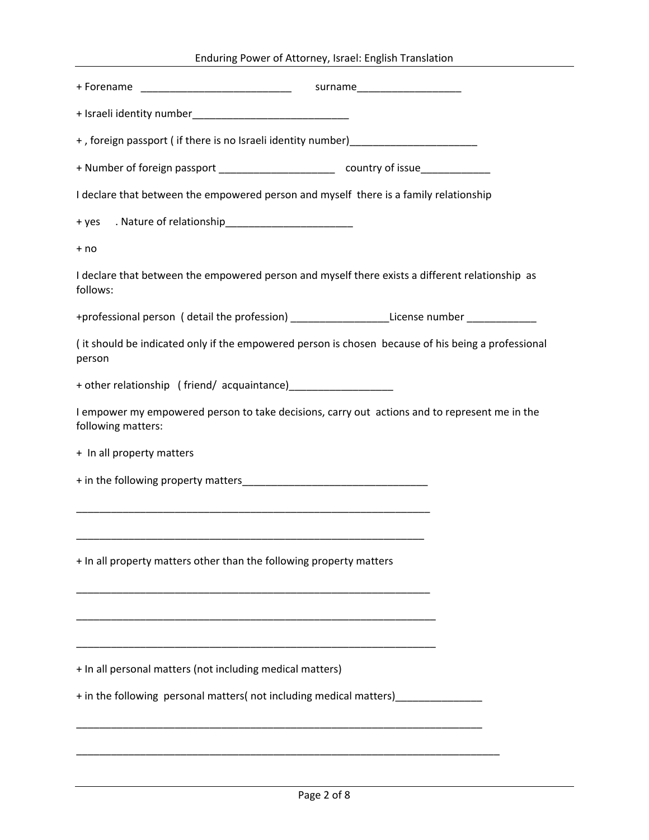| Enduring Power of Attorney, Israel: English Translation                                                             |
|---------------------------------------------------------------------------------------------------------------------|
|                                                                                                                     |
|                                                                                                                     |
| +, foreign passport (if there is no Israeli identity number)____________________                                    |
| + Number of foreign passport _______________________________ country of issue_______________________                |
| I declare that between the empowered person and myself there is a family relationship                               |
|                                                                                                                     |
| + no                                                                                                                |
| I declare that between the empowered person and myself there exists a different relationship as<br>follows:         |
| +professional person (detail the profession) ____________________License number ___________________                 |
| (it should be indicated only if the empowered person is chosen because of his being a professional<br>person        |
|                                                                                                                     |
| I empower my empowered person to take decisions, carry out actions and to represent me in the<br>following matters: |
| + In all property matters                                                                                           |
|                                                                                                                     |
|                                                                                                                     |
|                                                                                                                     |
| + In all property matters other than the following property matters                                                 |
|                                                                                                                     |
|                                                                                                                     |
| + In all personal matters (not including medical matters)                                                           |
| + in the following personal matters(not including medical matters) _____________                                    |
|                                                                                                                     |

\_\_\_\_\_\_\_\_\_\_\_\_\_\_\_\_\_\_\_\_\_\_\_\_\_\_\_\_\_\_\_\_\_\_\_\_\_\_\_\_\_\_\_\_\_\_\_\_\_\_\_\_\_\_\_\_\_\_\_\_\_\_\_\_\_\_\_\_\_\_\_\_\_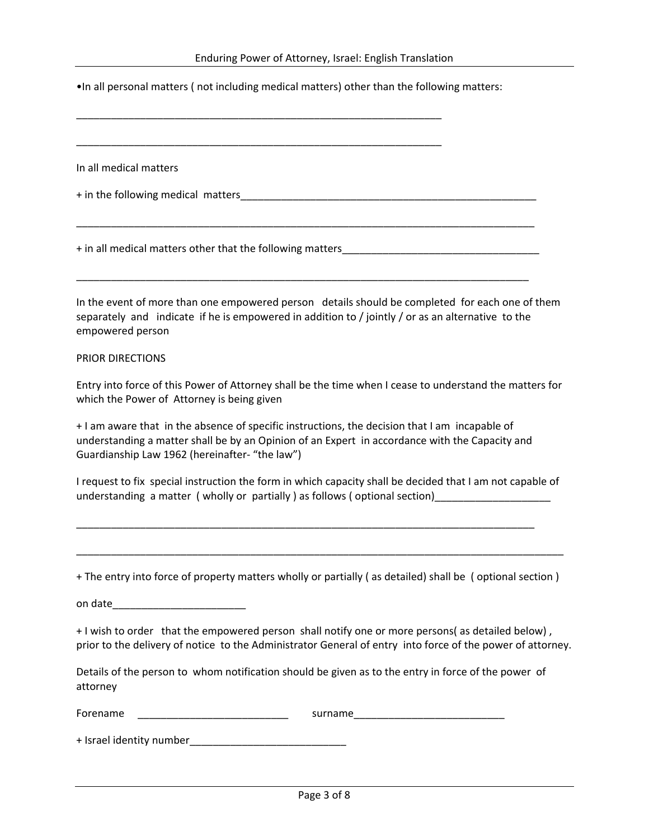•In all personal matters ( not including medical matters) other than the following matters:

\_\_\_\_\_\_\_\_\_\_\_\_\_\_\_\_\_\_\_\_\_\_\_\_\_\_\_\_\_\_\_\_\_\_\_\_\_\_\_\_\_\_\_\_\_\_\_\_\_\_\_\_\_\_\_\_\_\_\_\_\_\_\_

\_\_\_\_\_\_\_\_\_\_\_\_\_\_\_\_\_\_\_\_\_\_\_\_\_\_\_\_\_\_\_\_\_\_\_\_\_\_\_\_\_\_\_\_\_\_\_\_\_\_\_\_\_\_\_\_\_\_\_\_\_\_\_ In all medical matters + in the following medical matters \_\_\_\_\_\_\_\_\_\_\_\_\_\_\_\_\_\_\_\_\_\_\_\_\_\_\_\_\_\_\_\_\_\_\_\_\_\_\_\_\_\_\_\_\_\_\_\_\_\_\_\_\_\_\_\_\_\_\_\_\_\_\_\_\_\_\_\_\_\_\_\_\_\_\_\_\_\_\_ + in all medical matters other that the following matters\_\_\_\_\_\_\_\_\_\_\_\_\_\_\_\_\_\_\_\_\_\_\_\_\_\_\_\_\_\_\_\_\_\_ \_\_\_\_\_\_\_\_\_\_\_\_\_\_\_\_\_\_\_\_\_\_\_\_\_\_\_\_\_\_\_\_\_\_\_\_\_\_\_\_\_\_\_\_\_\_\_\_\_\_\_\_\_\_\_\_\_\_\_\_\_\_\_\_\_\_\_\_\_\_\_\_\_\_\_\_\_\_ In the event of more than one empowered person details should be completed for each one of them separately and indicate if he is empowered in addition to / jointly / or as an alternative to the empowered person PRIOR DIRECTIONS Entry into force of this Power of Attorney shall be the time when I cease to understand the matters for which the Power of Attorney is being given + I am aware that in the absence of specific instructions, the decision that I am incapable of understanding a matter shall be by an Opinion of an Expert in accordance with the Capacity and Guardianship Law 1962 (hereinafter- "the law") I request to fix special instruction the form in which capacity shall be decided that I am not capable of understanding a matter ( wholly or partially ) as follows ( optional section) \_\_\_\_\_\_\_\_\_\_\_\_\_\_\_\_\_\_\_\_\_\_\_\_\_\_\_\_\_\_\_\_\_\_\_\_\_\_\_\_\_\_\_\_\_\_\_\_\_\_\_\_\_\_\_\_\_\_\_\_\_\_\_\_\_\_\_\_\_\_\_\_\_\_\_\_\_\_\_ \_\_\_\_\_\_\_\_\_\_\_\_\_\_\_\_\_\_\_\_\_\_\_\_\_\_\_\_\_\_\_\_\_\_\_\_\_\_\_\_\_\_\_\_\_\_\_\_\_\_\_\_\_\_\_\_\_\_\_\_\_\_\_\_\_\_\_\_\_\_\_\_\_\_\_\_\_\_\_\_\_\_\_\_ + The entry into force of property matters wholly or partially ( as detailed) shall be ( optional section ) on date\_\_\_\_\_\_\_\_\_\_\_\_\_\_\_\_\_\_\_\_\_\_\_ + I wish to order that the empowered person shall notify one or more persons( as detailed below) , prior to the delivery of notice to the Administrator General of entry into force of the power of attorney. Details of the person to whom notification should be given as to the entry in force of the power of attorney Forename **Example 2018** Surname + Israel identity number\_\_\_\_\_\_\_\_\_\_\_\_\_\_\_\_\_\_\_\_\_\_\_\_\_\_\_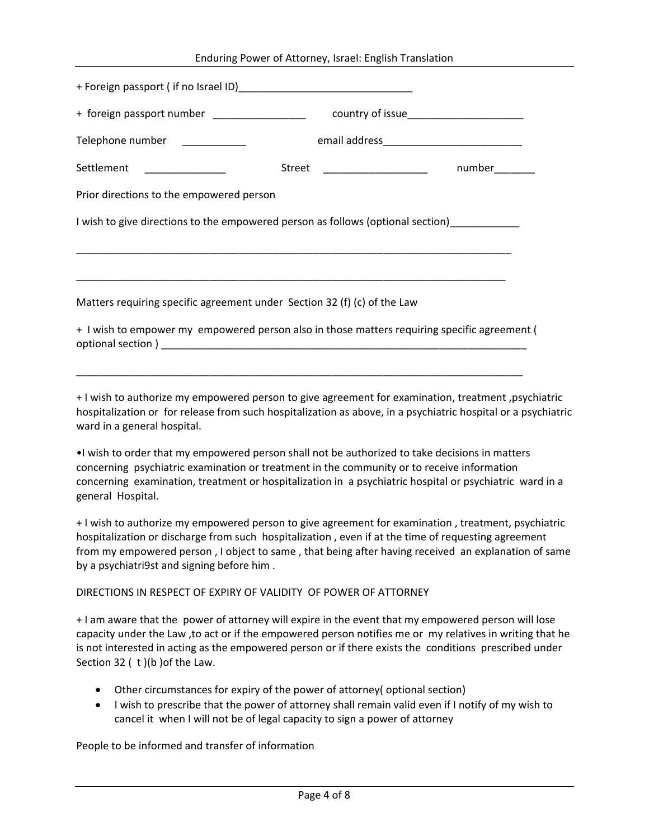| Enduring Power of Attorney, Israel: English Translation |  |  |  |
|---------------------------------------------------------|--|--|--|
|---------------------------------------------------------|--|--|--|

| + foreign passport number _________________                                                                                                                                                                                                                                                                                   |
|-------------------------------------------------------------------------------------------------------------------------------------------------------------------------------------------------------------------------------------------------------------------------------------------------------------------------------|
| Telephone number ___________                                                                                                                                                                                                                                                                                                  |
| Settlement<br>number________<br>Street<br><u> 1990 - John Harry Harry Harry Harry Harry Harry Harry Harry Harry Harry Harry Harry Harry Harry Harry Harry Harry Harry Harry Harry Harry Harry Harry Harry Harry Harry Harry Harry Harry Harry Harry Harry Harry Harry Harr</u>                                                |
| Prior directions to the empowered person                                                                                                                                                                                                                                                                                      |
| I wish to give directions to the empowered person as follows (optional section)                                                                                                                                                                                                                                               |
|                                                                                                                                                                                                                                                                                                                               |
| Matters requiring specific agreement under Section 32 (f) (c) of the Law                                                                                                                                                                                                                                                      |
| + I wish to empower my empowered person also in those matters requiring specific agreement (                                                                                                                                                                                                                                  |
| + I wish to authorize my empowered person to give agreement for examination, treatment, psychiatric<br>hospitalization or for release from such hospitalization as above, in a psychiatric hospital or a psychiatric<br>ward in a general hospital.                                                                           |
| . I wish to order that my empowered person shall not be authorized to take decisions in matters<br>concerning psychiatric examination or treatment in the community or to receive information<br>concerning examination, treatment or hospitalization in a psychiatric hospital or psychiatric ward in a<br>general Hospital. |

+ I wish to authorize my empowered person to give agreement for examination , treatment, psychiatric hospitalization or discharge from such hospitalization , even if at the time of requesting agreement from my empowered person , I object to same , that being after having received an explanation of same by a psychiatri9st and signing before him .

## DIRECTIONS IN RESPECT OF EXPIRY OF VALIDITY OF POWER OF ATTORNEY

+ I am aware that the power of attorney will expire in the event that my empowered person will lose capacity under the Law ,to act or if the empowered person notifies me or my relatives in writing that he is not interested in acting as the empowered person or if there exists the conditions prescribed under Section 32 ( t )(b )of the Law.

- Other circumstances for expiry of the power of attorney( optional section)
- I wish to prescribe that the power of attorney shall remain valid even if I notify of my wish to cancel it when I will not be of legal capacity to sign a power of attorney

People to be informed and transfer of information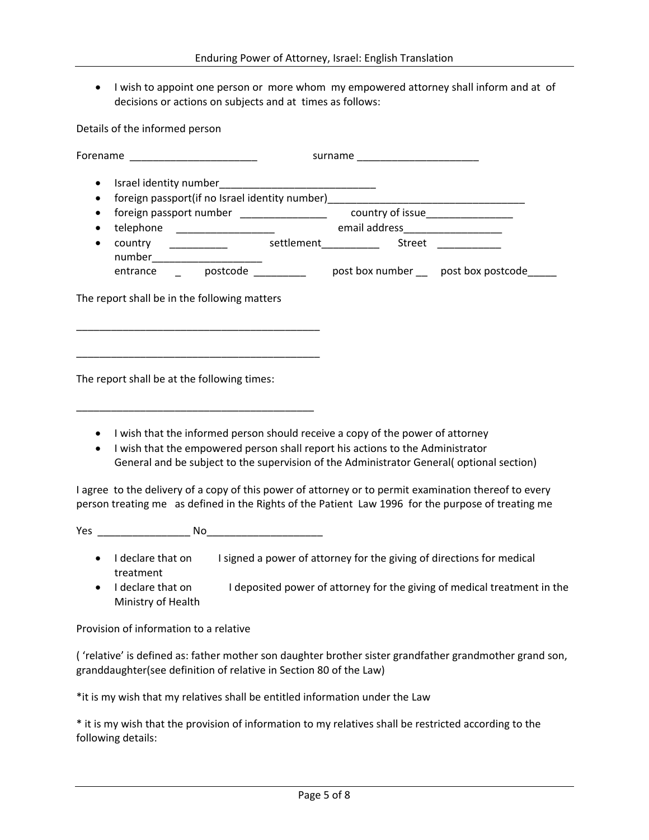• I wish to appoint one person or more whom my empowered attorney shall inform and at of decisions or actions on subjects and at times as follows:

Details of the informed person

| Forename __________________________                                                                                                                                                                                                                                       | surname _______________________ |  |
|---------------------------------------------------------------------------------------------------------------------------------------------------------------------------------------------------------------------------------------------------------------------------|---------------------------------|--|
| foreign passport(if no Israel identity number)__________________________________                                                                                                                                                                                          |                                 |  |
| foreign passport number ____________________ country of issue___________________<br>country ____________ settlement_____________ Street _____________                                                                                                                     |                                 |  |
| number__________________________                                                                                                                                                                                                                                          |                                 |  |
| The report shall be in the following matters                                                                                                                                                                                                                              |                                 |  |
| The report shall be at the following times:                                                                                                                                                                                                                               |                                 |  |
| I wish that the informed person should receive a copy of the power of attorney<br>I wish that the empowered person shall report his actions to the Administrator<br>$\bullet$<br>General and be subject to the supervision of the Administrator General(optional section) |                                 |  |

I agree to the delivery of a copy of this power of attorney or to permit examination thereof to every person treating me as defined in the Rights of the Patient Law 1996 for the purpose of treating me

Yes \_\_\_\_\_\_\_\_\_\_\_\_\_\_\_\_ No\_\_\_\_\_\_\_\_\_\_\_\_\_\_\_\_\_\_\_\_

- I declare that on I signed a power of attorney for the giving of directions for medical treatment
- I declare that on I deposited power of attorney for the giving of medical treatment in the Ministry of Health

Provision of information to a relative

( 'relative' is defined as: father mother son daughter brother sister grandfather grandmother grand son, granddaughter(see definition of relative in Section 80 of the Law)

\*it is my wish that my relatives shall be entitled information under the Law

\* it is my wish that the provision of information to my relatives shall be restricted according to the following details: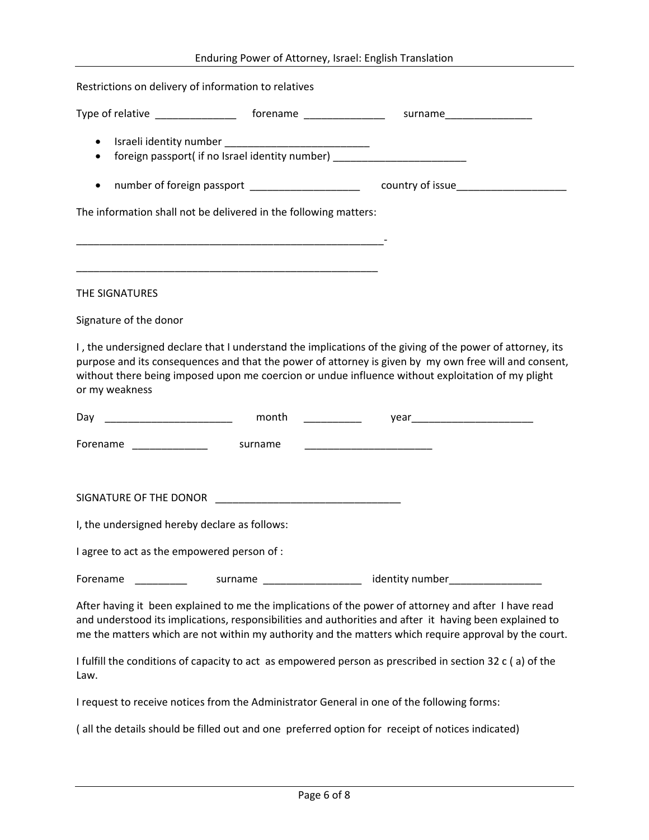|          |                                                      | Enduring Power of Attorney, Israel: English Translation                                          |                                                                                                                                                                                                                                                                                                                          |
|----------|------------------------------------------------------|--------------------------------------------------------------------------------------------------|--------------------------------------------------------------------------------------------------------------------------------------------------------------------------------------------------------------------------------------------------------------------------------------------------------------------------|
|          | Restrictions on delivery of information to relatives |                                                                                                  |                                                                                                                                                                                                                                                                                                                          |
|          |                                                      |                                                                                                  |                                                                                                                                                                                                                                                                                                                          |
| ٠<br>٠   |                                                      | foreign passport(if no Israel identity number) ___________________________                       |                                                                                                                                                                                                                                                                                                                          |
| ٠        |                                                      | number of foreign passport _____________________                                                 | country of issue____________________                                                                                                                                                                                                                                                                                     |
|          |                                                      | The information shall not be delivered in the following matters:                                 |                                                                                                                                                                                                                                                                                                                          |
|          | THE SIGNATURES                                       |                                                                                                  |                                                                                                                                                                                                                                                                                                                          |
|          | Signature of the donor                               |                                                                                                  |                                                                                                                                                                                                                                                                                                                          |
|          | or my weakness                                       |                                                                                                  | I, the undersigned declare that I understand the implications of the giving of the power of attorney, its<br>purpose and its consequences and that the power of attorney is given by my own free will and consent,<br>without there being imposed upon me coercion or undue influence without exploitation of my plight  |
|          |                                                      | month<br><u> Alexandria de la c</u>                                                              |                                                                                                                                                                                                                                                                                                                          |
|          | Forename ______________                              | surname                                                                                          |                                                                                                                                                                                                                                                                                                                          |
|          | I, the undersigned hereby declare as follows:        | SIGNATURE OF THE DONOR THE RESIDENCE AND THE RESIDENCE OF THE DONOR                              |                                                                                                                                                                                                                                                                                                                          |
|          | I agree to act as the empowered person of :          |                                                                                                  |                                                                                                                                                                                                                                                                                                                          |
| Forename |                                                      |                                                                                                  |                                                                                                                                                                                                                                                                                                                          |
|          |                                                      |                                                                                                  | After having it been explained to me the implications of the power of attorney and after I have read<br>and understood its implications, responsibilities and authorities and after it having been explained to<br>me the matters which are not within my authority and the matters which require approval by the court. |
| Law.     |                                                      |                                                                                                  | I fulfill the conditions of capacity to act as empowered person as prescribed in section 32 c (a) of the                                                                                                                                                                                                                 |
|          |                                                      | I request to receive notices from the Administrator General in one of the following forms:       |                                                                                                                                                                                                                                                                                                                          |
|          |                                                      | (all the details should be filled out and one preferred option for receipt of notices indicated) |                                                                                                                                                                                                                                                                                                                          |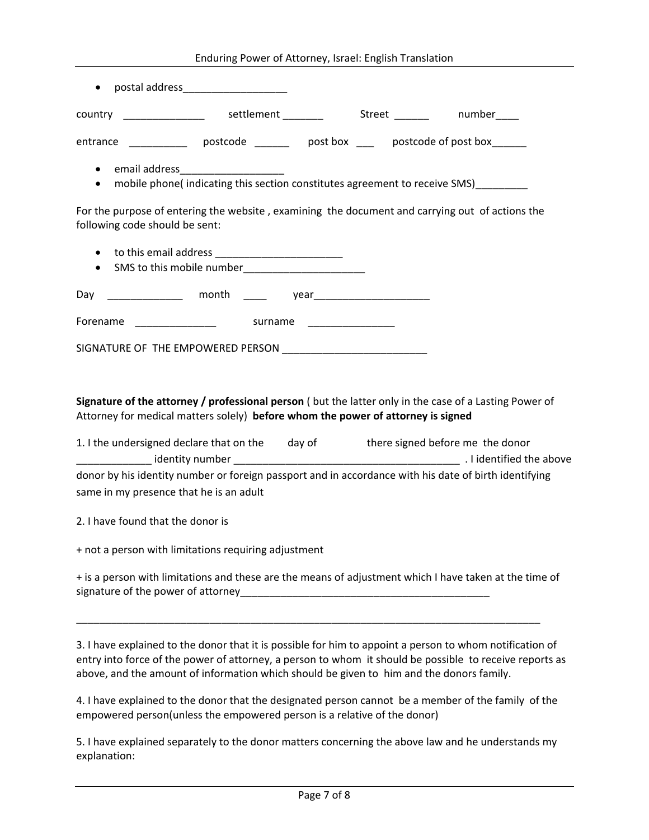| Enduring Power of Attorney, Israel: English Translation |  |  |  |
|---------------------------------------------------------|--|--|--|
|---------------------------------------------------------|--|--|--|

| postal address_______________________<br>$\bullet$                                                                                         |                                                   |  |  |  |
|--------------------------------------------------------------------------------------------------------------------------------------------|---------------------------------------------------|--|--|--|
|                                                                                                                                            |                                                   |  |  |  |
| entrance _______________ postcode _________ post box _____ postcode of post box ______                                                     |                                                   |  |  |  |
| email address_____________________<br>$\bullet$<br>mobile phone(indicating this section constitutes agreement to receive SMS)<br>$\bullet$ |                                                   |  |  |  |
| For the purpose of entering the website, examining the document and carrying out of actions the<br>following code should be sent:          |                                                   |  |  |  |
| $\bullet$<br>$\bullet$                                                                                                                     | SMS to this mobile number________________________ |  |  |  |
| Day ______________ month ____                                                                                                              |                                                   |  |  |  |
| Forename                                                                                                                                   | surname                                           |  |  |  |
| SIGNATURE OF THE EMPOWERED PERSON                                                                                                          |                                                   |  |  |  |

**Signature of the attorney / professional person** ( but the latter only in the case of a Lasting Power of Attorney for medical matters solely) **before whom the power of attorney is signed**

| 1. I the undersigned declare that on the                                                              | day of | there signed before me the donor |  |  |
|-------------------------------------------------------------------------------------------------------|--------|----------------------------------|--|--|
| identity number                                                                                       |        | . I identified the above         |  |  |
| donor by his identity number or foreign passport and in accordance with his date of birth identifying |        |                                  |  |  |
| same in my presence that he is an adult                                                               |        |                                  |  |  |

2. I have found that the donor is

+ not a person with limitations requiring adjustment

+ is a person with limitations and these are the means of adjustment which I have taken at the time of signature of the power of attorney\_\_\_\_\_\_\_\_\_\_\_\_\_\_\_\_\_\_\_\_\_\_\_\_\_\_\_\_\_\_\_\_\_\_\_\_\_\_\_\_\_\_\_

\_\_\_\_\_\_\_\_\_\_\_\_\_\_\_\_\_\_\_\_\_\_\_\_\_\_\_\_\_\_\_\_\_\_\_\_\_\_\_\_\_\_\_\_\_\_\_\_\_\_\_\_\_\_\_\_\_\_\_\_\_\_\_\_\_\_\_\_\_\_\_\_\_\_\_\_\_\_\_\_

3. I have explained to the donor that it is possible for him to appoint a person to whom notification of entry into force of the power of attorney, a person to whom it should be possible to receive reports as above, and the amount of information which should be given to him and the donors family.

4. I have explained to the donor that the designated person cannot be a member of the family of the empowered person(unless the empowered person is a relative of the donor)

5. I have explained separately to the donor matters concerning the above law and he understands my explanation: